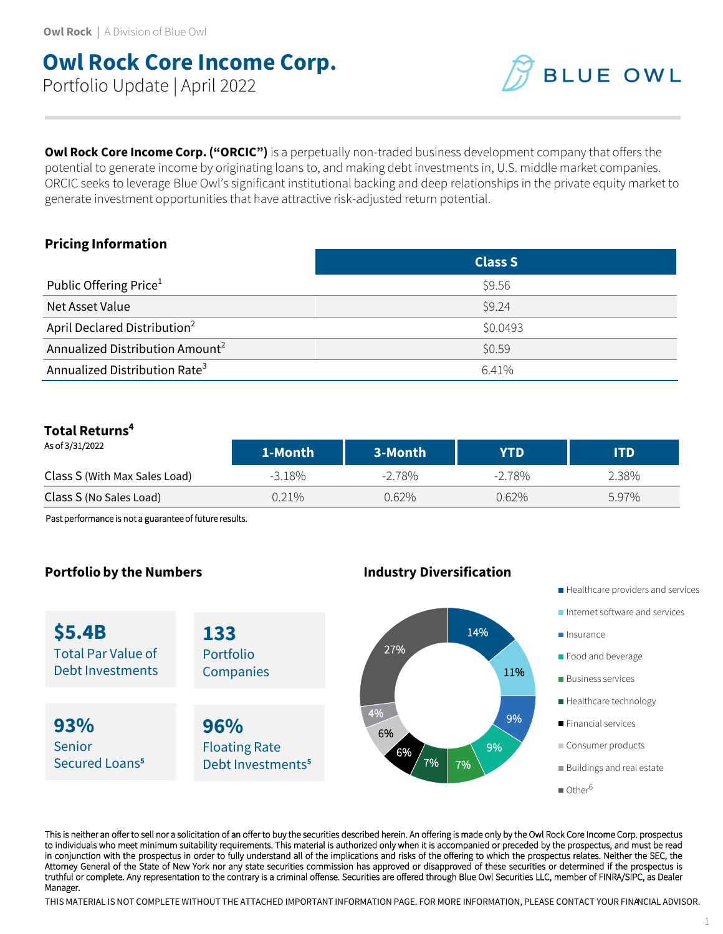# **Owl Rock Core Income Corp.** Portfolio Update | April 2022

**BLUE OWL** 

**Owl Rock Core Income Corp. ("ORCIC")** is a perpetually non-traded business development company that offers the potential to generate income by originating loans to, and making debt investments in, U.S. middle market companies. ORCIC seeks to leverage Blue Owl's significant institutional backing and deep relationships in the private equity market to generate investment opportunities that have attractive risk-adjusted return potential.

### **Pricing Information**

|                                             | <b>Class S</b> |
|---------------------------------------------|----------------|
| Public Offering Price <sup>1</sup>          | \$9.56         |
| Net Asset Value                             | \$9.24         |
| April Declared Distribution <sup>2</sup>    | \$0.0493       |
| Annualized Distribution Amount <sup>2</sup> | \$0.59         |
| Annualized Distribution Rate <sup>3</sup>   | 6.41%          |

## **Total Returns<sup>4</sup>**

| As of 3/31/2022               | 1-Month  | 3-Month   | YTD       | ITD   |
|-------------------------------|----------|-----------|-----------|-------|
| Class S (With Max Sales Load) | -3.18%   | $-2.78\%$ | $-2.78\%$ | 2.38% |
| Class S (No Sales Load)       | $0.21\%$ | 0.62%     | $0.62\%$  | 5.97% |

Past performance is not a guarantee of future results.

### **Portfolio by the Numbers Industry Diversification**

**\$5.4B** Total Par Value of Debt Investments

**93%** Senior Secured Loans**<sup>5</sup>** **133** Portfolio **Companies** 

**96%** Floating Rate Debt Investments**<sup>5</sup>**



- Healthcare providers and services
- Internet software and services
- **Insurance**
- **Food and beverage**
- **Business services**
- Healthcare technology
- **Financial services**
- Consumer products
- Buildings and real estate
- $\blacksquare$  Other<sup>6</sup>

This is neither an offer to sell nor a solicitation of an offer to buy the securities described herein. An offering is made only by the Owl Rock Core Income Corp. prospectus to individuals who meet minimum suitability requirements. This material is authorized only when it is accompanied or preceded by the prospectus, and must be read in conjunction with the prospectus in order to fully understand all of the implications and risks of the offering to which the prospectus relates. Neither the SEC, the Attorney General of the State of New York nor any state securities commission has approved or disapproved of these securities or determined if the prospectus is truthful or complete. Any representation to the contrary is a criminal offense. Securities are offered through Blue Owl Securities LLC, member of FINRA/SIPC, as Dealer Manager.

THIS MATERIAL IS NOT COMPLETE WITHOUT THE ATTACHED IMPORTANT INFORMATION PAGE. FOR MORE INFORMATION, PLEASE CONTACT YOUR FINANCIAL ADVISOR.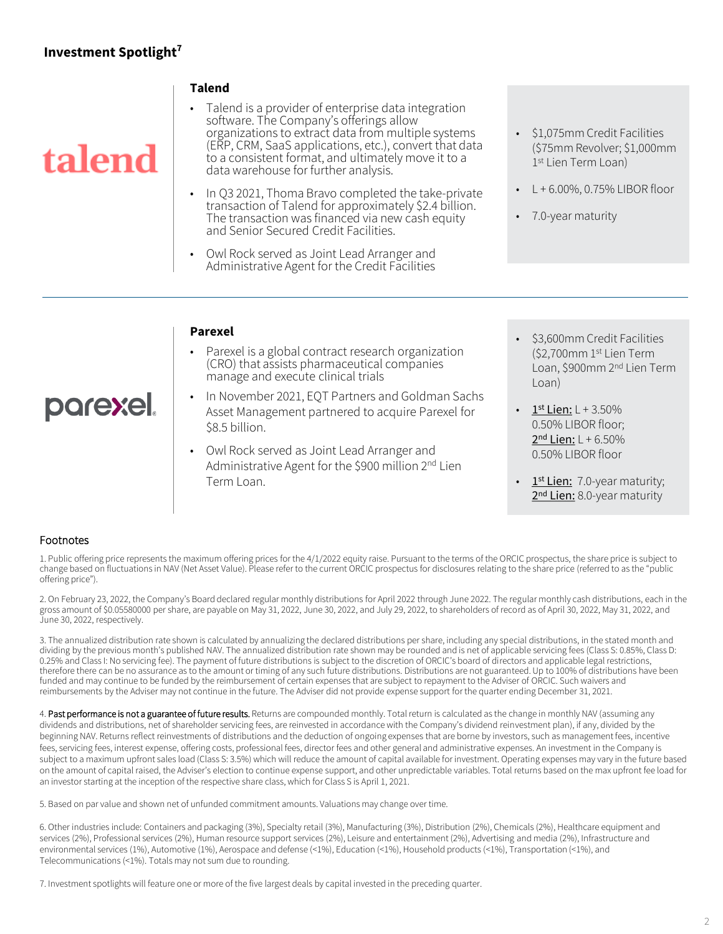### **Investment Spotlight<sup>7</sup>**

# talend

parexel.

#### **Talend**

- Talend is a provider of enterprise data integration software. The Company's offerings allow organizations to extract data from multiple systems (ERP, CRM, SaaS applications, etc.), convert that data to a consistent format, and ultimately move it to a data warehouse for further analysis.
- In Q3 2021, Thoma Bravo completed the take-private transaction of Talend for approximately \$2.4 billion. The transaction was financed via new cash equity and Senior Secured Credit Facilities.
- Owl Rock served as Joint Lead Arranger and Administrative Agent for the Credit Facilities
- \$1,075mm Credit Facilities (\$75mm Revolver; \$1,000mm 1 st Lien Term Loan)
- $L + 6.00\%$ , 0.75% LIBOR floor
- 7.0-year maturity

#### **Parexel**

- Parexel is a global contract research organization (CRO) that assists pharmaceutical companies manage and execute clinical trials
- In November 2021, EQT Partners and Goldman Sachs Asset Management partnered to acquire Parexel for \$8.5 billion.
- Owl Rock served as Joint Lead Arranger and Administrative Agent for the \$900 million 2<sup>nd</sup> Lien Term Loan.
- \$3,600mm Credit Facilities (\$2,700mm 1 st Lien Term Loan, \$900mm 2nd Lien Term Loan)
- $\frac{1^{st} \text{Lien:}}{k}$  L + 3.50% 0.50% LIBOR floor; 2<sup>nd</sup> Lien: L + 6.50% 0.50% LIBOR floor
- 1<sup>st</sup> Lien: 7.0-year maturity; 2<sup>nd</sup> Lien: 8.0-year maturity

#### Footnotes

1. Public offering price represents the maximum offering prices for the 4/1/2022 equity raise. Pursuant to the terms of the ORCIC prospectus, the share price is subject to change based on fluctuations in NAV (Net Asset Value). Please refer to the current ORCIC prospectus for disclosures relating to the share price (referred to as the "public offering price").

2. On February 23, 2022, the Company's Board declared regular monthly distributions for April 2022 through June 2022. The regular monthly cash distributions, each in the gross amount of \$0.05580000 per share, are payable on May 31, 2022, June 30, 2022, and July 29, 2022, to shareholders of record as of April 30, 2022, May 31, 2022, and June 30, 2022, respectively.

3. The annualized distribution rate shown is calculated by annualizing the declared distributions per share, including any special distributions, in the stated month and dividing by the previous month's published NAV. The annualized distribution rate shown may be rounded and is net of applicable servicing fees (Class S: 0.85%, Class D: 0.25% and Class I: No servicing fee). The payment of future distributions is subject to the discretion of ORCIC's board of directors and applicable legal restrictions, therefore there can be no assurance as to the amount or timing of any such future distributions. Distributions are not guaranteed. Up to 100% of distributions have been funded and may continue to be funded by the reimbursement of certain expenses that are subject to repayment to the Adviser of ORCIC. Such waivers and reimbursements by the Adviser may not continue in the future. The Adviser did not provide expense support for the quarter ending December 31, 2021.

4. Past performance is not a guarantee of future results. Returns are compounded monthly. Total return is calculated as the change in monthly NAV (assuming any dividends and distributions, net of shareholder servicing fees, are reinvested in accordance with the Company's dividend reinvestment plan), if any, divided by the beginning NAV. Returns reflect reinvestments of distributions and the deduction of ongoing expenses that are borne by investors, such as management fees, incentive fees, servicing fees, interest expense, offering costs, professional fees, director fees and other general and administrative expenses. An investment in the Company is subject to a maximum upfront sales load (Class S: 3.5%) which will reduce the amount of capital available for investment. Operating expenses may vary in the future based on the amount of capital raised, the Adviser's election to continue expense support, and other unpredictable variables. Total returns based on the max upfront fee load for an investor starting at the inception of the respective share class, which for Class S is April 1, 2021.

5. Based on par value and shown net of unfunded commitment amounts. Valuations may change over time.

6. Other industries include: Containers and packaging (3%), Specialty retail (3%), Manufacturing (3%), Distribution (2%), Chemicals (2%), Healthcare equipment and services (2%), Professional services (2%), Human resource support services (2%), Leisure and entertainment (2%), Advertising and media (2%), Infrastructure and environmental services (1%), Automotive (1%), Aerospace and defense (<1%), Education (<1%), Household products (<1%), Transportation (<1%), and Telecommunications (<1%). Totals may not sum due to rounding.

7. Investment spotlights will feature one or more of the five largest deals by capital invested in the preceding quarter.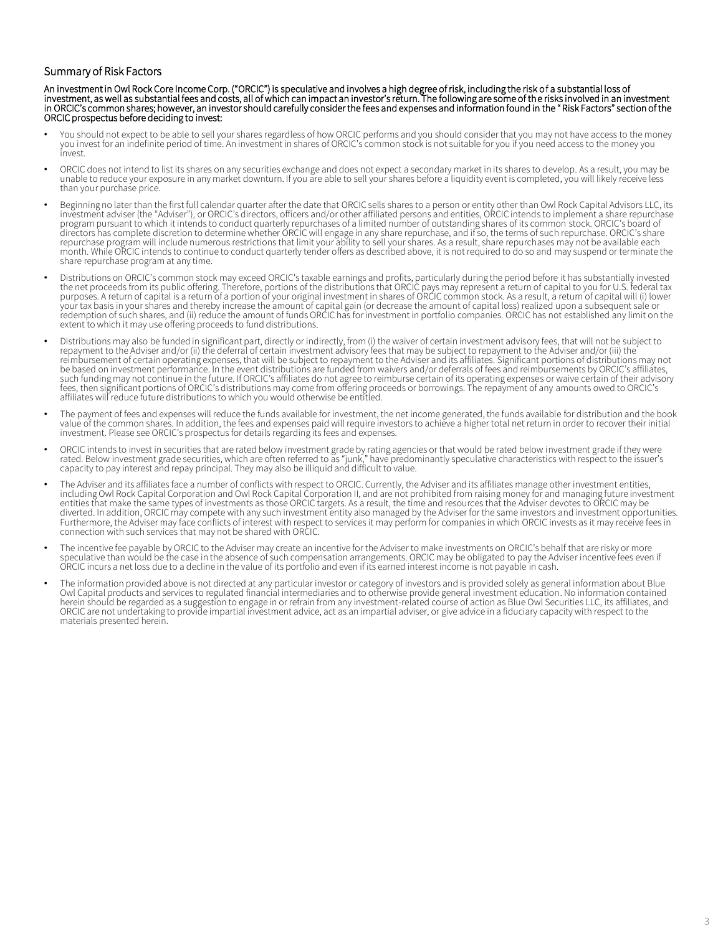#### Summary of Risk Factors

An investment in Owl Rock Core Income Corp. ("ORCIC") is speculative and involves a high degree of risk, including the risk of a substantial loss of investment, as well as substantial fees and costs, all of which can impact an investor's return. The following are some of the risks involved in an investment in ORCIC's common shares; however, an investor should carefully consider the fees and expenses and information found in the "Risk Factors" section of the ORCIC prospectus before deciding to invest:

- You should not expect to be able to sell your shares regardless of how ORCIC performs and you should consider that you may not have access to the money<br>you invest for an indefinite period of time. An investment in shares o invest.
- ORCIC does not intend to list its shares on any securities exchange and does not expect a secondary market in its shares to develop. As a result, you may be unable to reduce your exposure in any market downturn. If you are able to sell your shares before a liquidity event is completed, you will likely receive less than your purchase price.
- Beginning no later than the first full calendar quarter after the date that ORCIC sells shares to a person or entity other than Owl Rock Capital Advisors LLC, its investment adviser (the "Adviser"), or ORCIC's directors, officers and/or other affiliated persons and entities, ORCIC intends to implement a share repurchase program pursuant to which it intends to conduct quarterly repurchases of a limited number of outstanding shares of its common stock. ORCIC's board of directors has complete discretion to determine whether ORCIC will engage in any share repurchase, and if so, the terms of such repurchase. ORCIC's share repurchase program will include numerous restrictions that limit your ability to sell your shares. As a result, share repurchases may not be available each month. While ORCIC intends to continue to conduct quarterly tender offers as described above, it is not required to do so and may suspend or terminate the share repurchase program at any time.
- Distributions on ORCIC's common stock may exceed ORCIC's taxable earnings and profits, particularly during the period before it has substantially invested the net proceeds from its public offering. Therefore, portions of the distributions that ORCIC pays may represent a return of capital to you for U.S. federal tax<br>purposes. A return of capital is a return of a portion of yo your tax basis in your shares and thereby increase the amount of capital gain (or decrease the amount of capital loss) realized upon a subsequent sale or<br>redemption of such shares, and (ii) reduce the amount of funds ORCIC extent to which it may use offering proceeds to fund distributions.
- Distributions may also be funded in significant part, directly or indirectly, from (i) the waiver of certain investment advisory fees, that will not be subject to repayment to the Adviser and/or (ii) the deferral of certai reimbursement of certain operating expenses, that will be subject to repayment to the Adviser and its affiliates. Significant portions of distributions may not be based on investment performance. In the event distributions are funded from waivers and/or deferrals of fees and reimbursements by ORCIC's affiliates, such funding may not continue in the future. If ORCIC's affiliates do not agree to reimburse certain of its operating expenses or waive certain of their advisory fees, then significant portions of ORCIC's distributions may come from offering proceeds or borrowings. The repayment of any amounts owed to ORCIC's<br>affiliates will reduce future distributions to which you would otherwise
- The payment of fees and expenses will reduce the funds available for investment, the net income generated, the funds available for distribution and the book value of the common shares. In addition, the fees and expenses paid will require investors to achieve a higher total net return in order to recover their initial investment. Please see ORCIC's prospectus for details regarding its fees and expenses.
- ORCIC intends to invest in securities that are rated below investment grade by rating agencies or that would be rated below investment grade if they were<br>rated. Below investment grade securities, which are often referred t capacity to pay interest and repay principal. They may also be illiquid and difficult to value.
- The Adviser and its affiliates face a number of conflicts with respect to ORCIC. Currently, the Adviser and its affiliates manage other investment entities, including Owl Rock Capital Corporation and Owl Rock Capital Corporation II, and are not prohibited from raising money for and managing future investment entities that make the same types of investments as those ORCIC targets. As a result, the time and resources that the Adviser devotes to ORCIC may be diverted. In addition, ORCIC may compete with any such investment entity also managed by the Adviser for the same investors and investment opportunities. Furthermore, the Adviser may face conflicts of interest with respect to services it may perform for companies in which ORCIC invests as it may receive fees in connection with such services that may not be shared with ORCIC.
- The incentive fee payable by ORCIC to the Adviser may create an incentive for the Adviser to make investments on ORCIC's behalf that are risky or more<br>speculative than would be the case in the absence of such compensation ORCIC incurs a net loss due to a decline in the value of its portfolio and even if its earned interest income is not payable in cash.
- The information provided above is not directed at any particular investor or category of investors and is provided solely as general information about Blue Owl Capital products and services to regulated financial intermediaries and to otherwise provide general investment education. No information contained herein should be regarded as a suggestion to engage in or refrain from any investment-related course of action as Blue Owl Securities LLC, its affiliates, and<br>ORCIC are not undertaking to provide impartial investment advic materials presented herein.